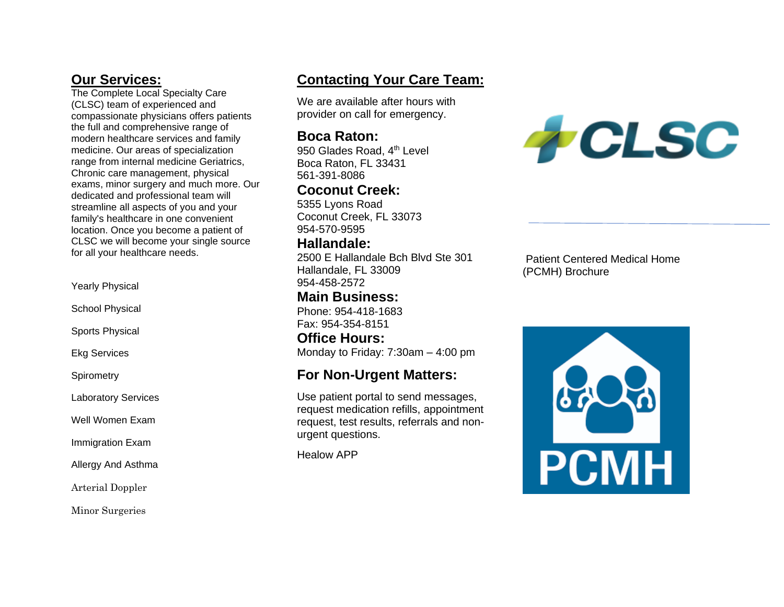# **Our Services:**

The Complete Local Specialty Care (CLSC) team of experienced and compassionate physicians offers patients the full and comprehensive range of modern healthcare services and family medicine. Our areas of specialization range from internal medicine Geriatrics, Chronic care management, physical exams, minor surgery and much more. Our dedicated and professional team will streamline all aspects of you and your family's healthcare in one convenient location. Once you become a patient of CLSC we will become your single source for all your healthcare needs.

Yearly Physical

School Physical

Sports Physical

Ekg Services

**Spirometry** 

Laboratory Services

Well Women Exam

Immigration Exam

Allergy And Asthma

Arterial Doppler

Minor Surgeries

# **Contacting Your Care Team:**

We are available after hours with provider on call for emergency.

## **Boca Raton:**

950 Glades Road, 4<sup>th</sup> Level Boca Raton, FL 33431 561-391-8086

# **Coconut Creek:**

5355 Lyons Road Coconut Creek, FL 33073 954-570-9595

# **Hallandale:**

2500 E Hallandale Bch Blvd Ste 301 Hallandale, FL 33009 954-458-2572

# **Main Business:**

Phone: 954-418-1683 Fax: 954-354-8151

**Office Hours:**  Monday to Friday: 7:30am – 4:00 pm

# **For Non-Urgent Matters:**

Use patient portal to send messages, request medication refills, appointment request, test results, referrals and nonurgent questions.

Healow APP



Patient Centered Medical Home (PCMH) Brochure